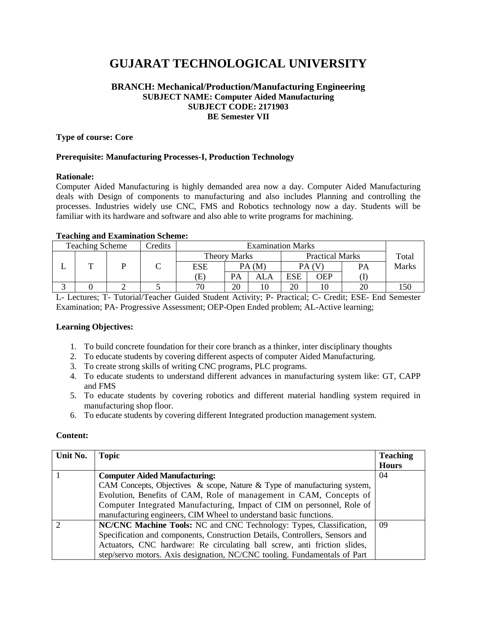# **GUJARAT TECHNOLOGICAL UNIVERSITY**

#### **BRANCH: Mechanical/Production/Manufacturing Engineering SUBJECT NAME: Computer Aided Manufacturing SUBJECT CODE: 2171903 BE Semester VII**

#### **Type of course: Core**

## **Prerequisite: Manufacturing Processes-I, Production Technology**

#### **Rationale:**

Computer Aided Manufacturing is highly demanded area now a day. Computer Aided Manufacturing deals with Design of components to manufacturing and also includes Planning and controlling the processes. Industries widely use CNC, FMS and Robotics technology now a day. Students will be familiar with its hardware and software and also able to write programs for machining.

#### **Teaching and Examination Scheme:**

| <b>Teaching Scheme</b> |  |  | Credits | <b>Examination Marks</b> |                                     |     |                        |     |           |       |
|------------------------|--|--|---------|--------------------------|-------------------------------------|-----|------------------------|-----|-----------|-------|
|                        |  |  |         |                          | <b>Theory Marks</b><br>ESE<br>PA (M |     | <b>Practical Marks</b> |     | Total     |       |
|                        |  |  |         |                          |                                     |     |                        |     | <b>PA</b> | Marks |
|                        |  |  |         | Έ)                       | PA                                  | ALA | ESE                    | OEP |           |       |
|                        |  |  |         |                          | 20                                  |     | 20                     |     | 20        | 150   |

L- Lectures; T- Tutorial/Teacher Guided Student Activity; P- Practical; C- Credit; ESE- End Semester Examination; PA- Progressive Assessment; OEP-Open Ended problem; AL-Active learning;

#### **Learning Objectives:**

- 1. To build concrete foundation for their core branch as a thinker, inter disciplinary thoughts
- 2. To educate students by covering different aspects of computer Aided Manufacturing.
- 3. To create strong skills of writing CNC programs, PLC programs.
- 4. To educate students to understand different advances in manufacturing system like: GT, CAPP and FMS
- 5. To educate students by covering robotics and different material handling system required in manufacturing shop floor.
- 6. To educate students by covering different Integrated production management system.

#### **Content:**

| Unit No. | <b>Topic</b>                                                                 | <b>Teaching</b> |
|----------|------------------------------------------------------------------------------|-----------------|
|          |                                                                              | <b>Hours</b>    |
|          | <b>Computer Aided Manufacturing:</b>                                         | 04              |
|          | CAM Concepts, Objectives & scope, Nature & Type of manufacturing system,     |                 |
|          | Evolution, Benefits of CAM, Role of management in CAM, Concepts of           |                 |
|          | Computer Integrated Manufacturing, Impact of CIM on personnel, Role of       |                 |
|          | manufacturing engineers, CIM Wheel to understand basic functions.            |                 |
|          | NC/CNC Machine Tools: NC and CNC Technology: Types, Classification,          | 09              |
|          | Specification and components, Construction Details, Controllers, Sensors and |                 |
|          | Actuators, CNC hardware: Re circulating ball screw, anti friction slides,    |                 |
|          | step/servo motors. Axis designation, NC/CNC tooling. Fundamentals of Part    |                 |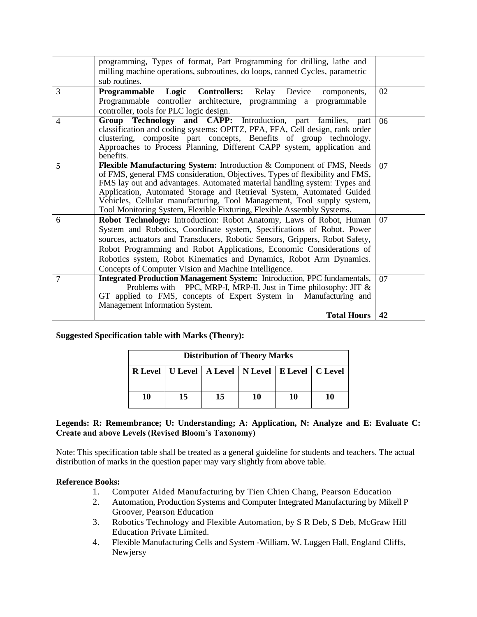|                | programming, Types of format, Part Programming for drilling, lathe and<br>milling machine operations, subroutines, do loops, canned Cycles, parametric<br>sub routines.                                                                                                                                                                                                                                                                                         |    |
|----------------|-----------------------------------------------------------------------------------------------------------------------------------------------------------------------------------------------------------------------------------------------------------------------------------------------------------------------------------------------------------------------------------------------------------------------------------------------------------------|----|
| 3              | Programmable Logic Controllers:<br>Device<br>Relay<br>components,<br>Programmable controller architecture, programming a programmable<br>controller, tools for PLC logic design.                                                                                                                                                                                                                                                                                | 02 |
| 4              | <b>Technology and CAPP:</b> Introduction, part<br>Group<br>families,<br>part<br>classification and coding systems: OPITZ, PFA, FFA, Cell design, rank order<br>clustering, composite part concepts, Benefits of group technology.<br>Approaches to Process Planning, Different CAPP system, application and<br>benefits.                                                                                                                                        | 06 |
| 5              | Flexible Manufacturing System: Introduction & Component of FMS, Needs<br>of FMS, general FMS consideration, Objectives, Types of flexibility and FMS,<br>FMS lay out and advantages. Automated material handling system: Types and<br>Application, Automated Storage and Retrieval System, Automated Guided<br>Vehicles, Cellular manufacturing, Tool Management, Tool supply system,<br>Tool Monitoring System, Flexible Fixturing, Flexible Assembly Systems. | 07 |
| 6              | Robot Technology: Introduction: Robot Anatomy, Laws of Robot, Human<br>System and Robotics, Coordinate system, Specifications of Robot. Power<br>sources, actuators and Transducers, Robotic Sensors, Grippers, Robot Safety,<br>Robot Programming and Robot Applications, Economic Considerations of<br>Robotics system, Robot Kinematics and Dynamics, Robot Arm Dynamics.<br>Concepts of Computer Vision and Machine Intelligence.                           | 07 |
| $\overline{7}$ | <b>Integrated Production Management System:</b> Introduction, PPC fundamentals,<br>Problems with PPC, MRP-I, MRP-II. Just in Time philosophy: JIT $\&$<br>GT applied to FMS, concepts of Expert System in Manufacturing and<br>Management Information System.                                                                                                                                                                                                   | 07 |
|                | <b>Total Hours</b>                                                                                                                                                                                                                                                                                                                                                                                                                                              | 42 |

**Suggested Specification table with Marks (Theory):**

|    | <b>Distribution of Theory Marks</b> |    |                                                           |    |    |  |  |  |
|----|-------------------------------------|----|-----------------------------------------------------------|----|----|--|--|--|
|    |                                     |    | R Level   U Level   A Level   N Level   E Level   C Level |    |    |  |  |  |
|    |                                     |    |                                                           |    |    |  |  |  |
| 10 | 15                                  | 15 | 10                                                        | 10 | 10 |  |  |  |

# **Legends: R: Remembrance; U: Understanding; A: Application, N: Analyze and E: Evaluate C: Create and above Levels (Revised Bloom's Taxonomy)**

Note: This specification table shall be treated as a general guideline for students and teachers. The actual distribution of marks in the question paper may vary slightly from above table.

# **Reference Books:**

- 1. Computer Aided Manufacturing by Tien Chien Chang, Pearson Education
- 2. Automation, Production Systems and Computer Integrated Manufacturing by Mikell P Groover, Pearson Education
- 3. Robotics Technology and Flexible Automation, by S R Deb, S Deb, McGraw Hill Education Private Limited.
- 4. Flexible Manufacturing Cells and System -William. W. Luggen Hall, England Cliffs, Newjersy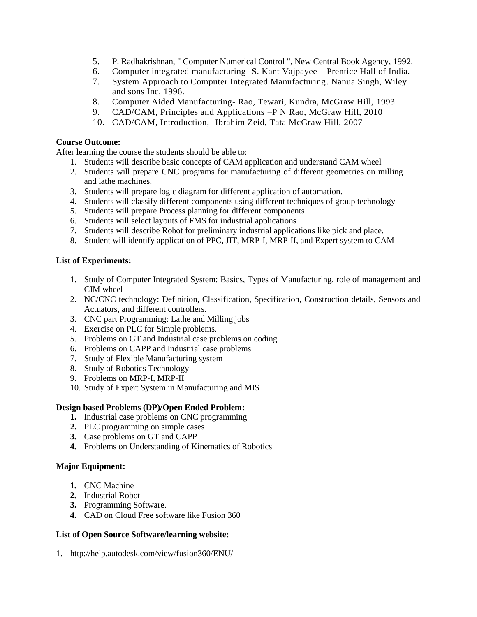- 5. P. Radhakrishnan, " Computer Numerical Control ", New Central Book Agency, 1992.
- 6. Computer integrated manufacturing -S. Kant Vajpayee Prentice Hall of India.
- 7. System Approach to Computer Integrated Manufacturing. Nanua Singh, Wiley and sons Inc, 1996.
- 8. Computer Aided Manufacturing- Rao, Tewari, Kundra, McGraw Hill, 1993
- 9. CAD/CAM, Principles and Applications –P N Rao, McGraw Hill, 2010
- 10. CAD/CAM, Introduction, -Ibrahim Zeid, Tata McGraw Hill, 2007

## **Course Outcome:**

After learning the course the students should be able to:

- 1. Students will describe basic concepts of CAM application and understand CAM wheel
- 2. Students will prepare CNC programs for manufacturing of different geometries on milling and lathe machines.
- 3. Students will prepare logic diagram for different application of automation.
- 4. Students will classify different components using different techniques of group technology
- 5. Students will prepare Process planning for different components
- 6. Students will select layouts of FMS for industrial applications
- 7. Students will describe Robot for preliminary industrial applications like pick and place.
- 8. Student will identify application of PPC, JIT, MRP-I, MRP-II, and Expert system to CAM

## **List of Experiments:**

- 1. Study of Computer Integrated System: Basics, Types of Manufacturing, role of management and CIM wheel
- 2. NC/CNC technology: Definition, Classification, Specification, Construction details, Sensors and Actuators, and different controllers.
- 3. CNC part Programming: Lathe and Milling jobs
- 4. Exercise on PLC for Simple problems.
- 5. Problems on GT and Industrial case problems on coding
- 6. Problems on CAPP and Industrial case problems
- 7. Study of Flexible Manufacturing system
- 8. Study of Robotics Technology
- 9. Problems on MRP-I, MRP-II
- 10. Study of Expert System in Manufacturing and MIS

# **Design based Problems (DP)/Open Ended Problem:**

- **1.** Industrial case problems on CNC programming
- **2.** PLC programming on simple cases
- **3.** Case problems on GT and CAPP
- **4.** Problems on Understanding of Kinematics of Robotics

#### **Major Equipment:**

- **1.** CNC Machine
- **2.** Industrial Robot
- **3.** Programming Software.
- **4.** CAD on Cloud Free software like Fusion 360

# **List of Open Source Software/learning website:**

1. <http://help.autodesk.com/view/fusion360/ENU/>